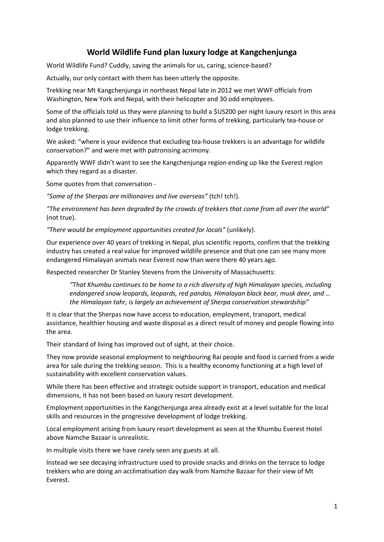## **World Wildlife Fund plan luxury lodge at Kangchenjunga**

World Wildlife Fund? Cuddly, saving the animals for us, caring, science-based?

Actually, our only contact with them has been utterly the opposite.

Trekking near Mt Kangchenjunga in northeast Nepal late in 2012 we met WWF officials from Washington, New York and Nepal, with their helicopter and 30 odd employees.

Some of the officials told us they were planning to build a \$US200 per night luxury resort in this area and also planned to use their influence to limit other forms of trekking, particularly tea-house or lodge trekking.

We asked: "where is your evidence that excluding tea-house trekkers is an advantage for wildlife conservation?" and were met with patronising acrimony.

Apparently WWF didn't want to see the Kangchenjunga region ending up like the Everest region which they regard as a disaster.

Some quotes from that conversation -

*"Some of the Sherpas are millionaires and live overseas"* (tch! tch!).

*"The environment has been degraded by the crowds of trekkers that come from all over the world"* (not true).

*"There would be employment opportunities created for locals"* (unlikely).

Our experience over 40 years of trekking in Nepal, plus scientific reports, confirm that the trekking industry has created a real value for improved wildlife presence and that one can see many more endangered Himalayan animals near Everest now than were there 40 years ago.

Respected researcher Dr Stanley Stevens from the University of Massachusetts:

*"That Khumbu continues to be home to a rich diversity of high Himalayan species, including endangered snow leopards, leopards, red pandas, Himalayan black bear, musk deer, and … the Himalayan tahr, is largely an achievement of Sherpa conservation stewardship"*

It is clear that the Sherpas now have access to education, employment, transport, medical assistance, healthier housing and waste disposal as a direct result of money and people flowing into the area.

Their standard of living has improved out of sight, at their choice.

They now provide seasonal employment to neighbouring Rai people and food is carried from a wide area for sale during the trekking season. This is a healthy economy functioning at a high level of sustainability with excellent conservation values.

While there has been effective and strategic outside support in transport, education and medical dimensions, it has not been based on luxury resort development.

Employment opportunities in the Kangchenjunga area already exist at a level suitable for the local skills and resources in the progressive development of lodge trekking.

Local employment arising from luxury resort development as seen at the Khumbu Everest Hotel above Namche Bazaar is unrealistic.

In multiple visits there we have rarely seen any guests at all.

Instead we see decaying infrastructure used to provide snacks and drinks on the terrace to lodge trekkers who are doing an acclimatisation day walk from Namche Bazaar for their view of Mt Everest.